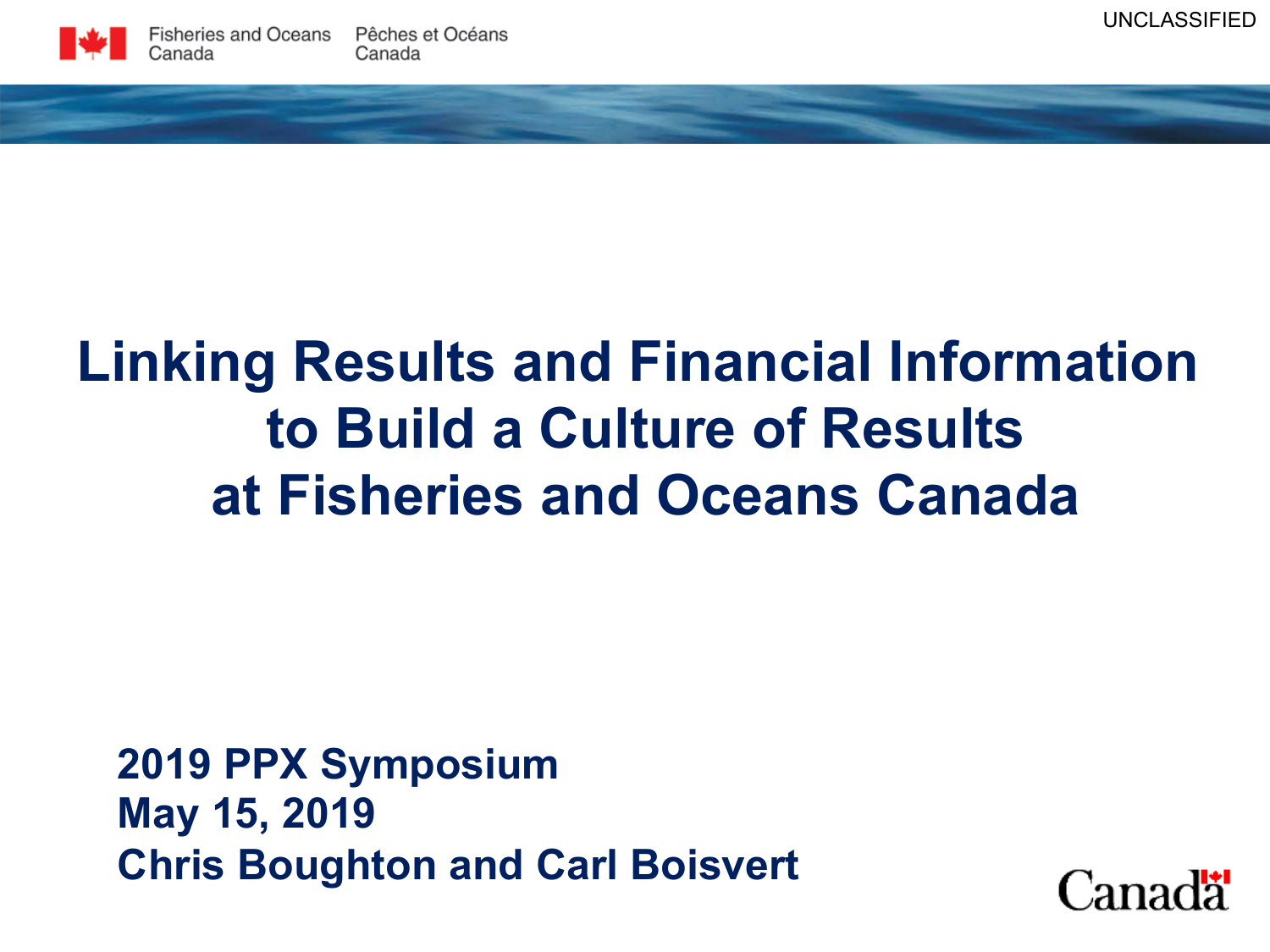# **Linking Results and Financial Information to Build a Culture of Results at Fisheries and Oceans Canada**

**2019 PPX Symposium May 15, 2019 Chris Boughton and Carl Boisvert** 

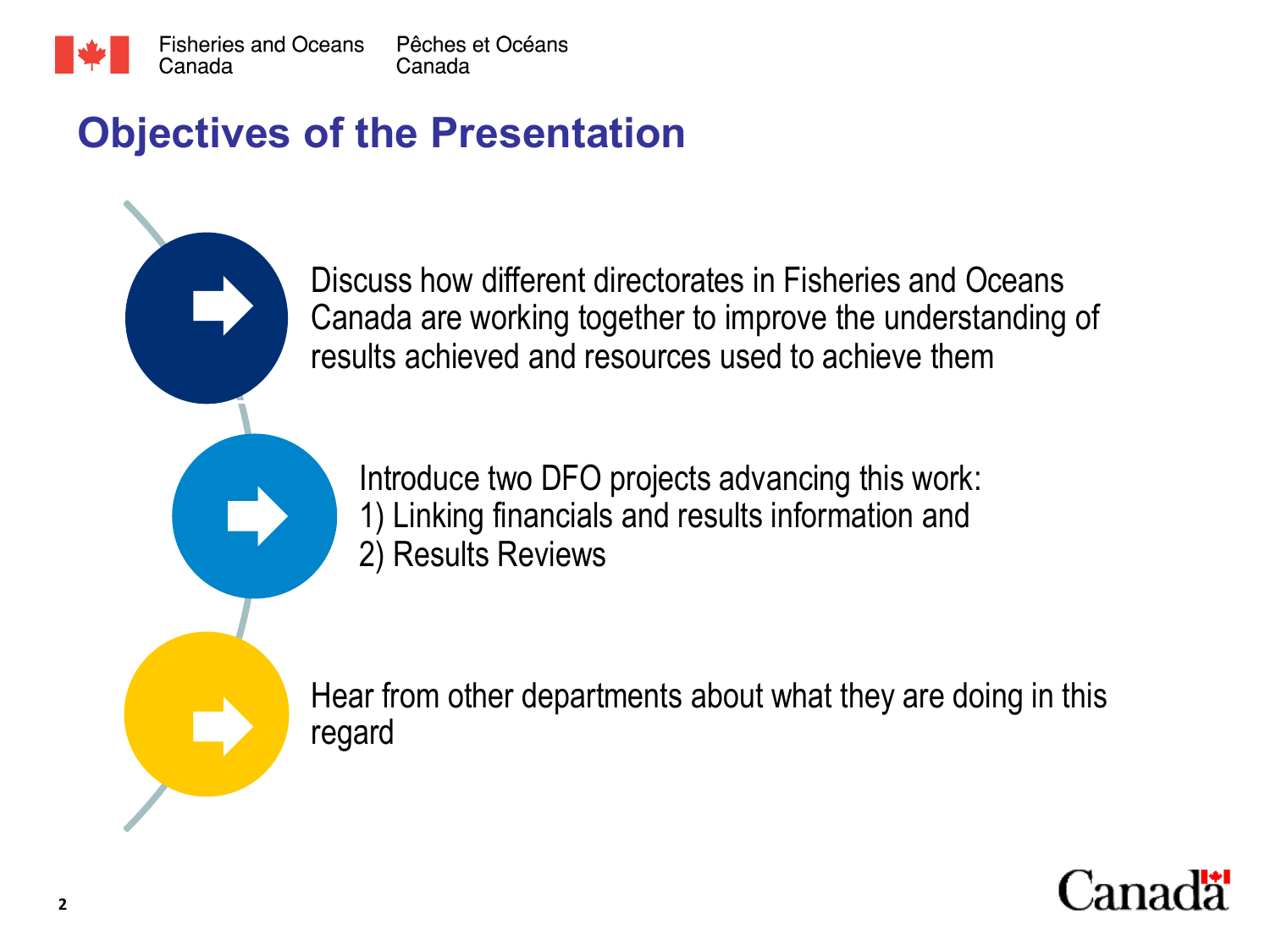

### **Objectives of the Presentation**

Discuss how different directorates in Fisheries and Oceans Canada are working together to improve the understanding of results achieved and resources used to achieve them

Introduce two DFO projects advancing this work: 1) Linking financials and results information and 2) Results Reviews

Hear from other departments about what they are doing in this regard

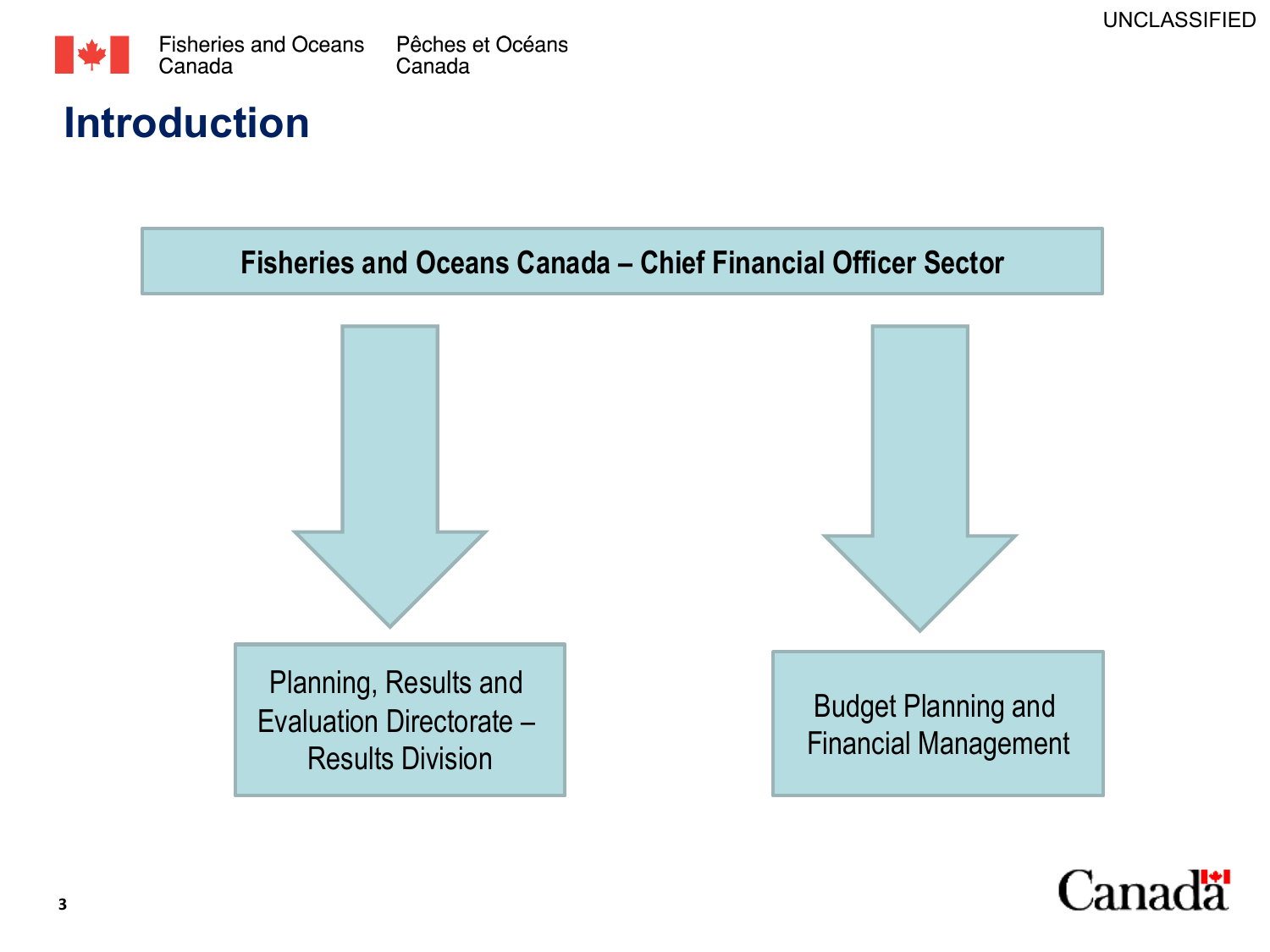

### **Introduction**

**Fisheries and Oceans Canada – Chief Financial Officer Sector** 



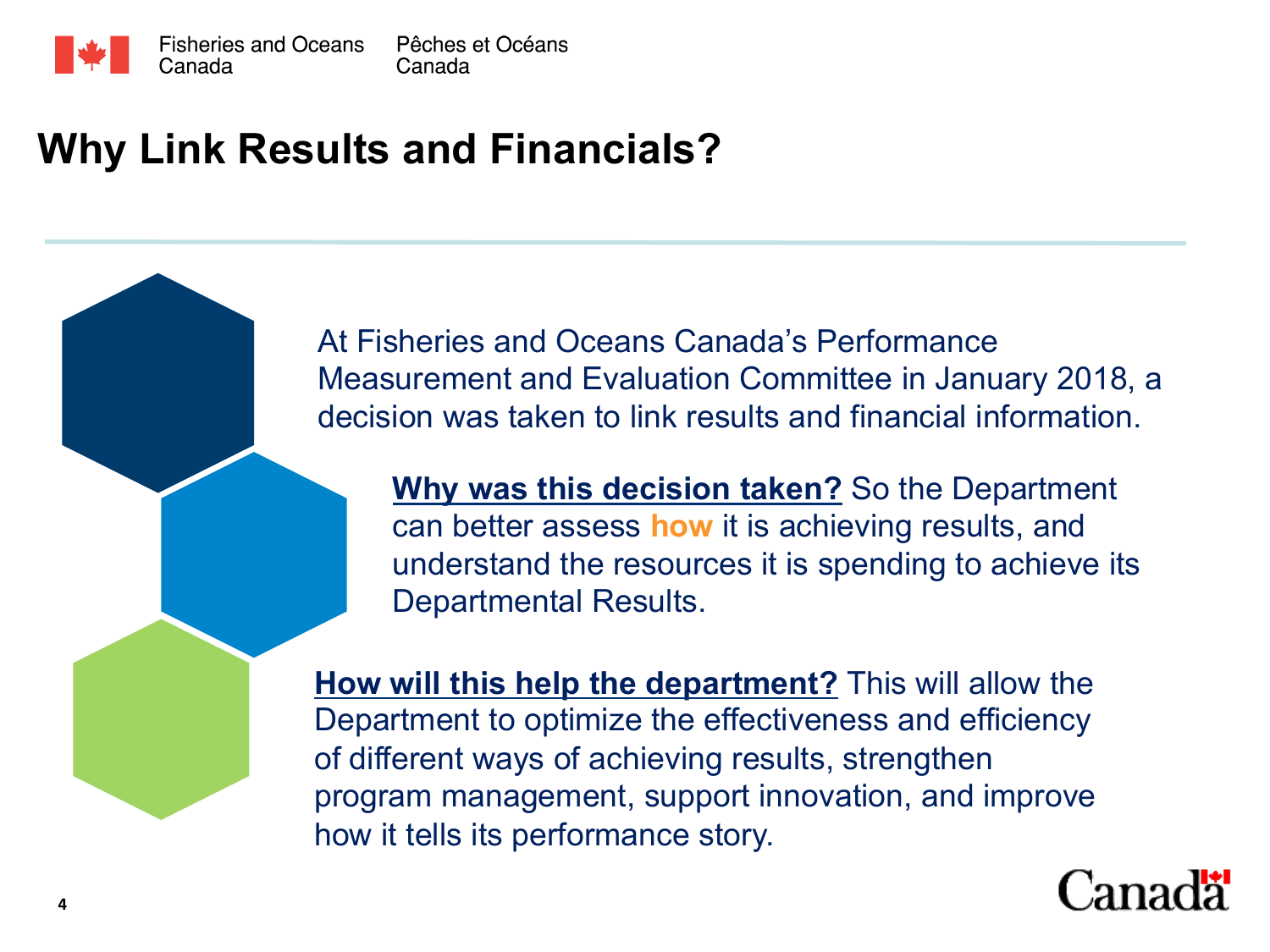

### **Why Link Results and Financials?**

At Fisheries and Oceans Canada's Performance Measurement and Evaluation Committee in January 2018, a decision was taken to link results and financial information.

**Why was this decision taken?** So the Department can better assess **how** it is achieving results, and understand the resources it is spending to achieve its Departmental Results.

**How will this help the department?** This will allow the Department to optimize the effectiveness and efficiency of different ways of achieving results, strengthen program management, support innovation, and improve how it tells its performance story.

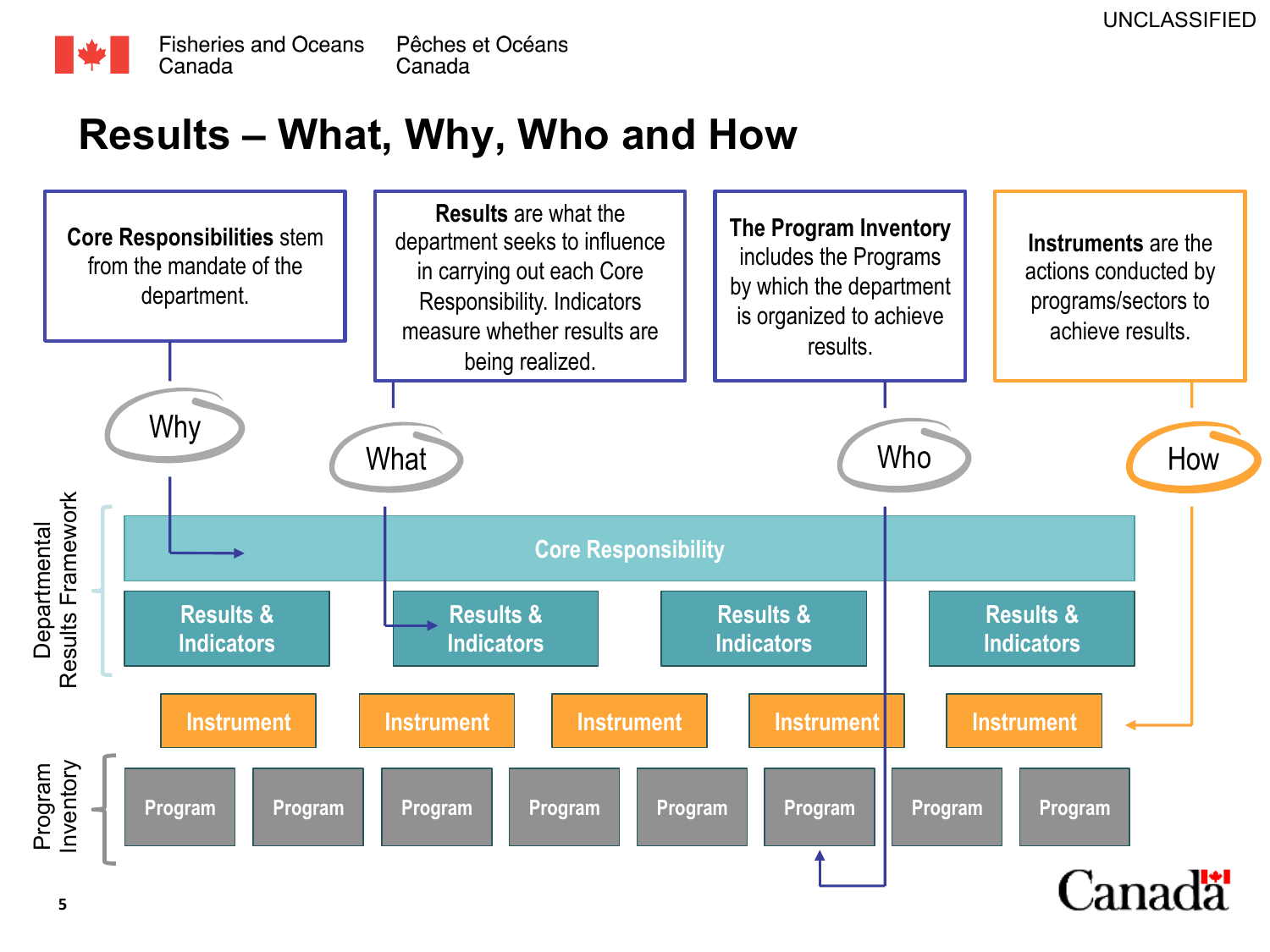

### **Results – What, Why, Who and How**

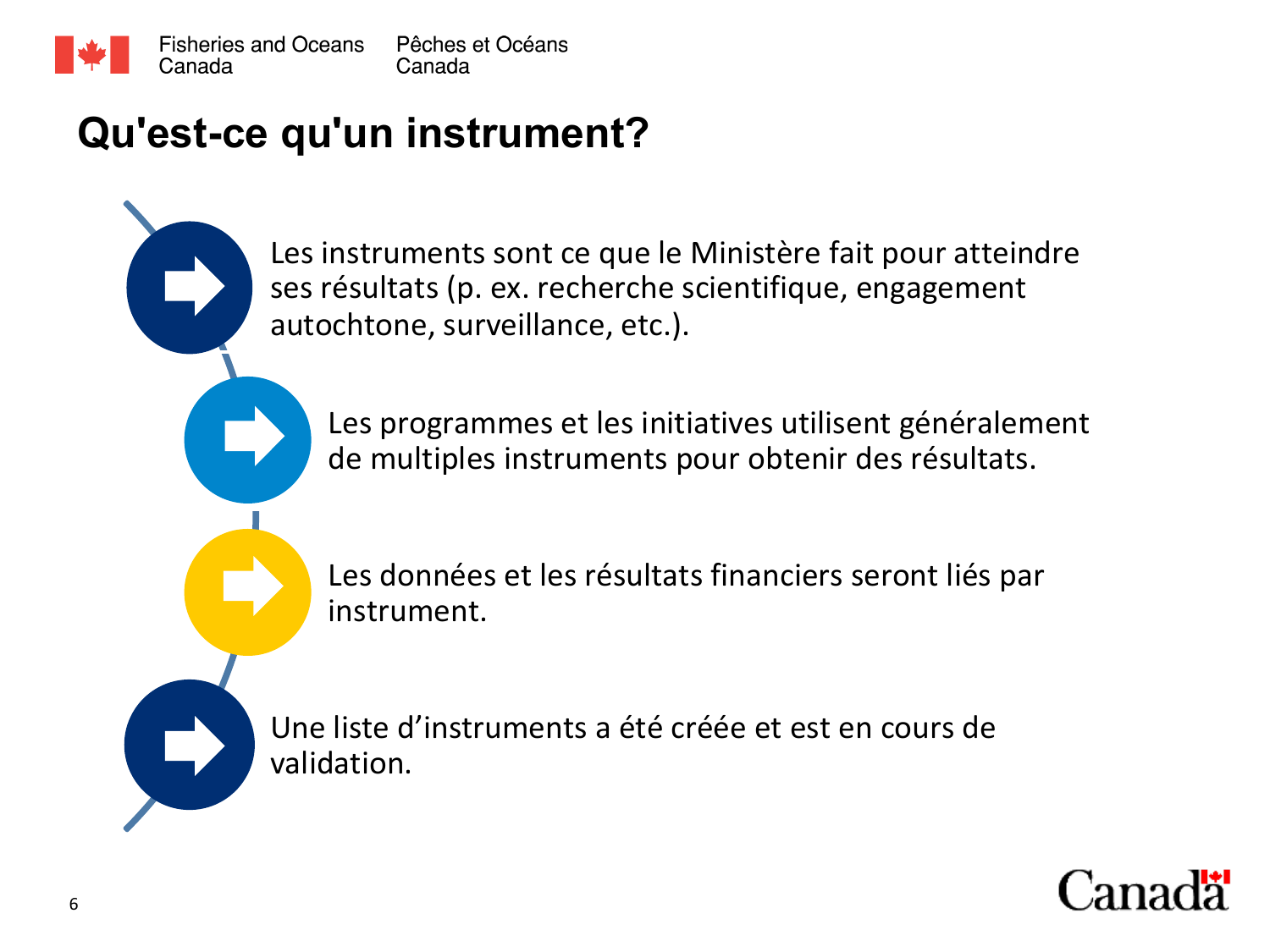

### **Qu'est-ce qu'un instrument?**

Les instruments sont ce que le Ministère fait pour atteindre ses résultats (p. ex. recherche scientifique, engagement autochtone, surveillance, etc.).

Les programmes et les initiatives utilisent généralement de multiples instruments pour obtenir des résultats.

Les données et les résultats financiers seront liés par instrument. 



Une liste d'instruments a été créée et est en cours de validation. 

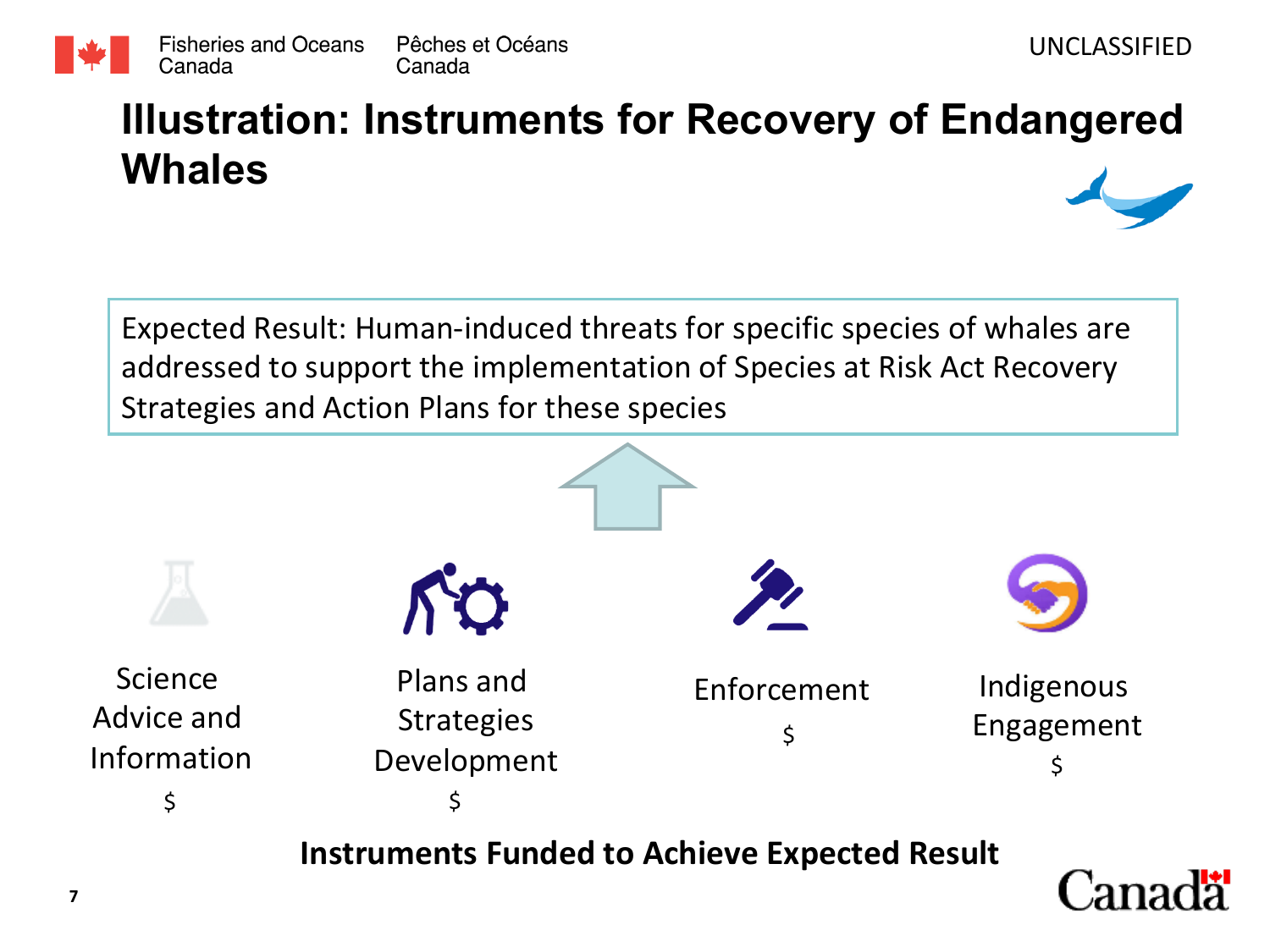

## **Illustration: Instruments for Recovery of Endangered Whales**

Expected Result: Human-induced threats for specific species of whales are addressed to support the implementation of Species at Risk Act Recovery Strategies and Action Plans for these species





**7**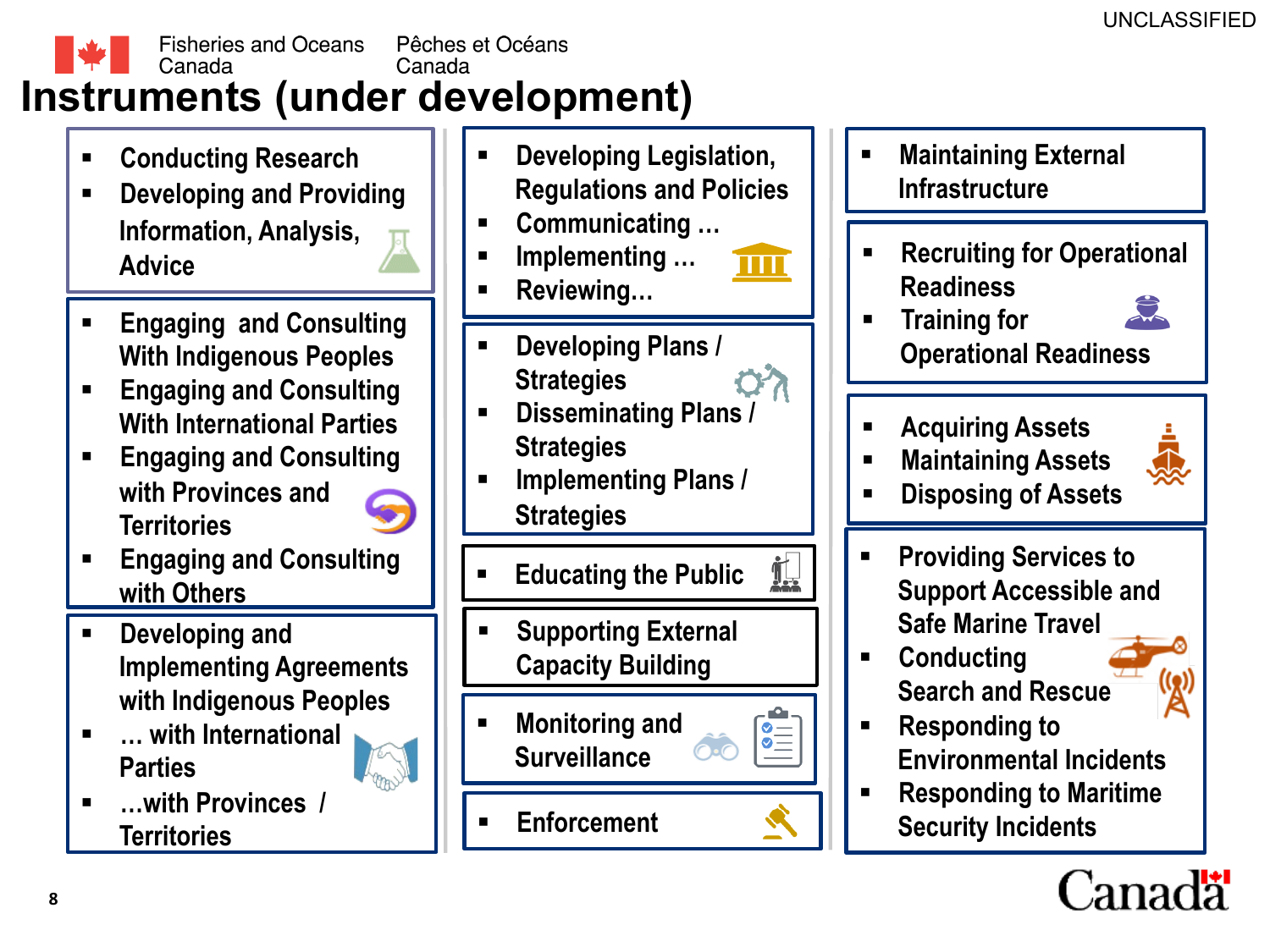

- § **Conducting Research**
- § **Developing and Providing Information, Analysis, Advice**
- § **Engaging and Consulting With Indigenous Peoples**
- § **Engaging and Consulting With International Parties**
- § **Engaging and Consulting with Provinces and Territories**



- § **Engaging and Consulting with Others**
- § **Developing and Implementing Agreements with Indigenous Peoples**
- § **… with International Parties**
- § **…with Provinces / Territories** § **Enforcement**
- § **Developing Legislation, Regulations and Policies**
- § **Communicating …**
- § **Implementing …**
- § **Reviewing…**
- § **Developing Plans / Strategies**
- § **Disseminating Plans / Strategies**
- § **Implementing Plans / Strategies**

§ **Educating the Public** 

il.

 $\frac{1}{\sqrt{2}}$ 

- § **Supporting External Capacity Building**
- § **Monitoring and Surveillance**
- 

§ **Maintaining External Infrastructure**  § **Recruiting for Operational Readiness** 



§ **Training for Operational Readiness** 

- § **Acquiring Assets**
- § **Maintaining Assets**



- § **Disposing of Assets**
- § **Providing Services to Support Accessible and Safe Marine Travel**
- § **Conducting Search and Rescue**
- § **Responding to Environmental Incidents**
- § **Responding to Maritime Security Incidents**

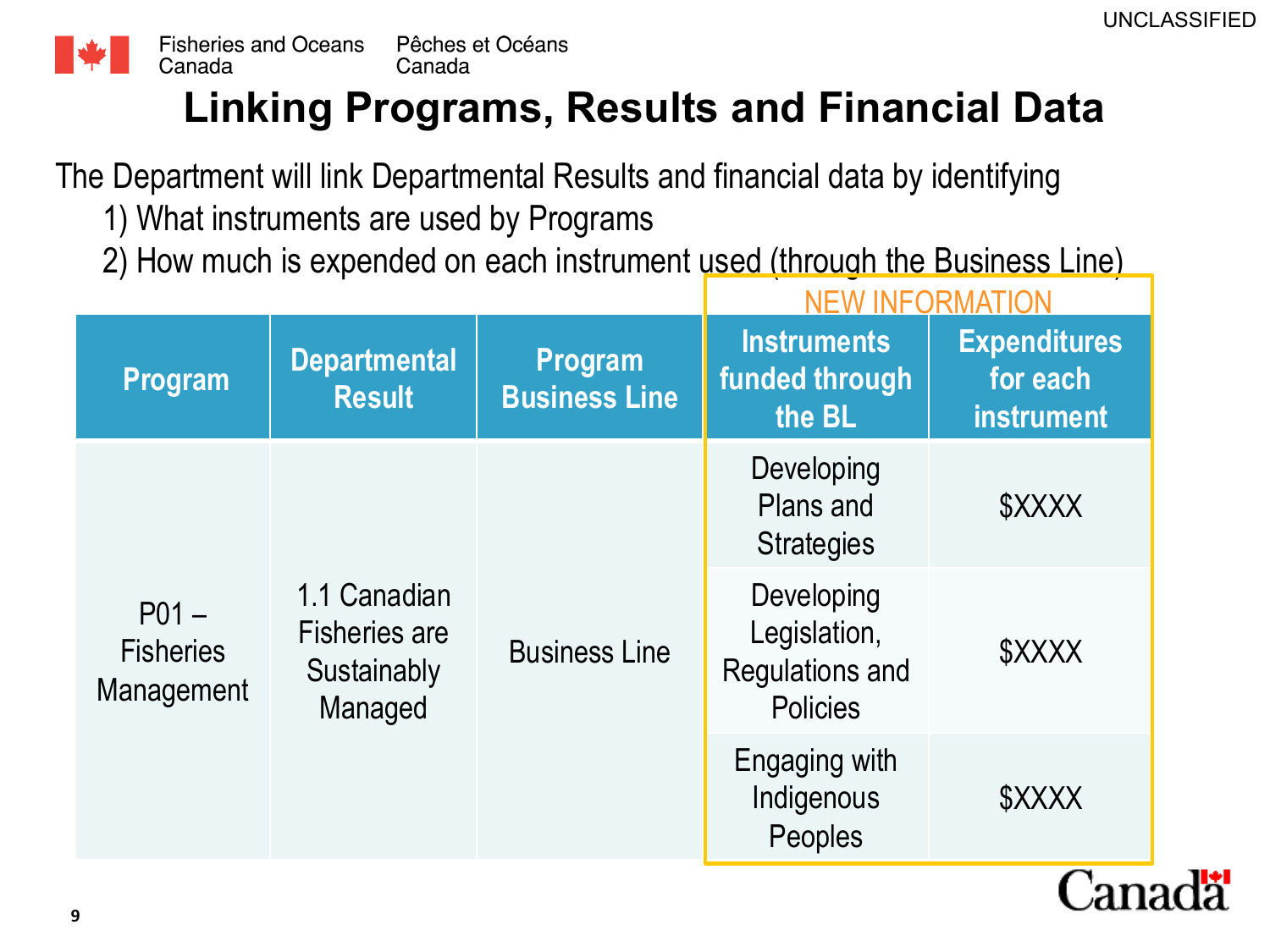

## **Linking Programs, Results and Financial Data**

The Department will link Departmental Results and financial data by identifying

- 1) What instruments are used by Programs
- 2) How much is expended on each instrument used (through the Business Line)

|                                                   |                                                                |                                 | NEW INFORMATION                                                         |                                                      |  |
|---------------------------------------------------|----------------------------------------------------------------|---------------------------------|-------------------------------------------------------------------------|------------------------------------------------------|--|
| <b>Program</b>                                    | <b>Departmental</b><br><b>Result</b>                           | Program<br><b>Business Line</b> | <b>Instruments</b><br>funded through<br>the BL                          | <b>Expenditures</b><br>for each<br><b>instrument</b> |  |
| P <sub>01</sub><br><b>Fisheries</b><br>Management | 1.1 Canadian<br><b>Fisheries are</b><br>Sustainably<br>Managed | <b>Business Line</b>            | Developing<br>Plans and<br><b>Strategies</b>                            | \$XXXX                                               |  |
|                                                   |                                                                |                                 | Developing<br>Legislation,<br><b>Regulations and</b><br><b>Policies</b> | \$XXXX                                               |  |
|                                                   |                                                                |                                 | Engaging with<br>Indigenous<br>Peoples                                  | \$XXXX                                               |  |
|                                                   |                                                                |                                 |                                                                         |                                                      |  |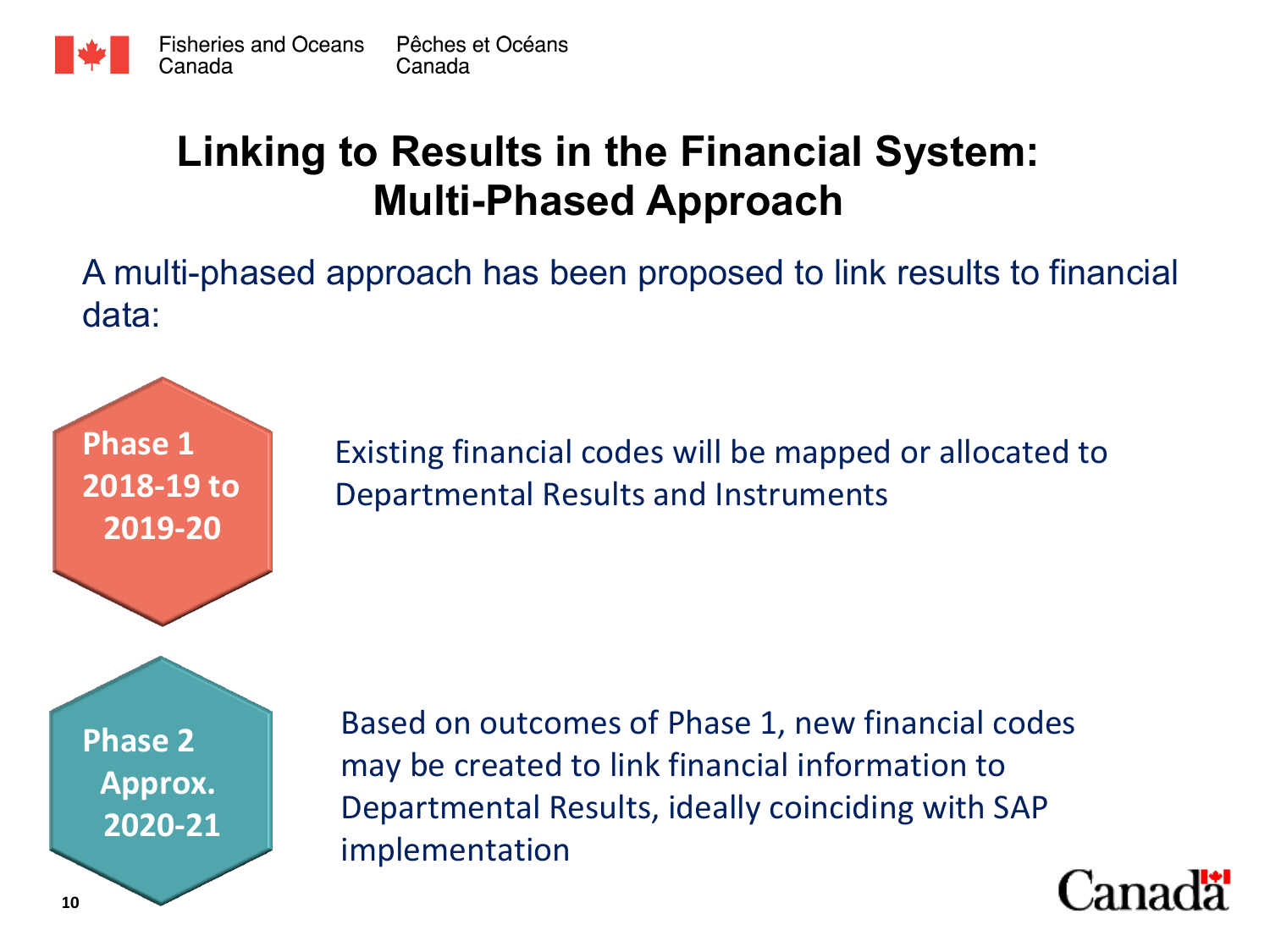

### **Linking to Results in the Financial System: Multi-Phased Approach**

A multi-phased approach has been proposed to link results to financial data:

> Existing financial codes will be mapped or allocated to Departmental Results and Instruments

**Phase 2 Approx. 2020-21** 

**Phase 1** 

**2018-19** to

**2019-20** 

Based on outcomes of Phase 1, new financial codes may be created to link financial information to Departmental Results, ideally coinciding with SAP implementation 

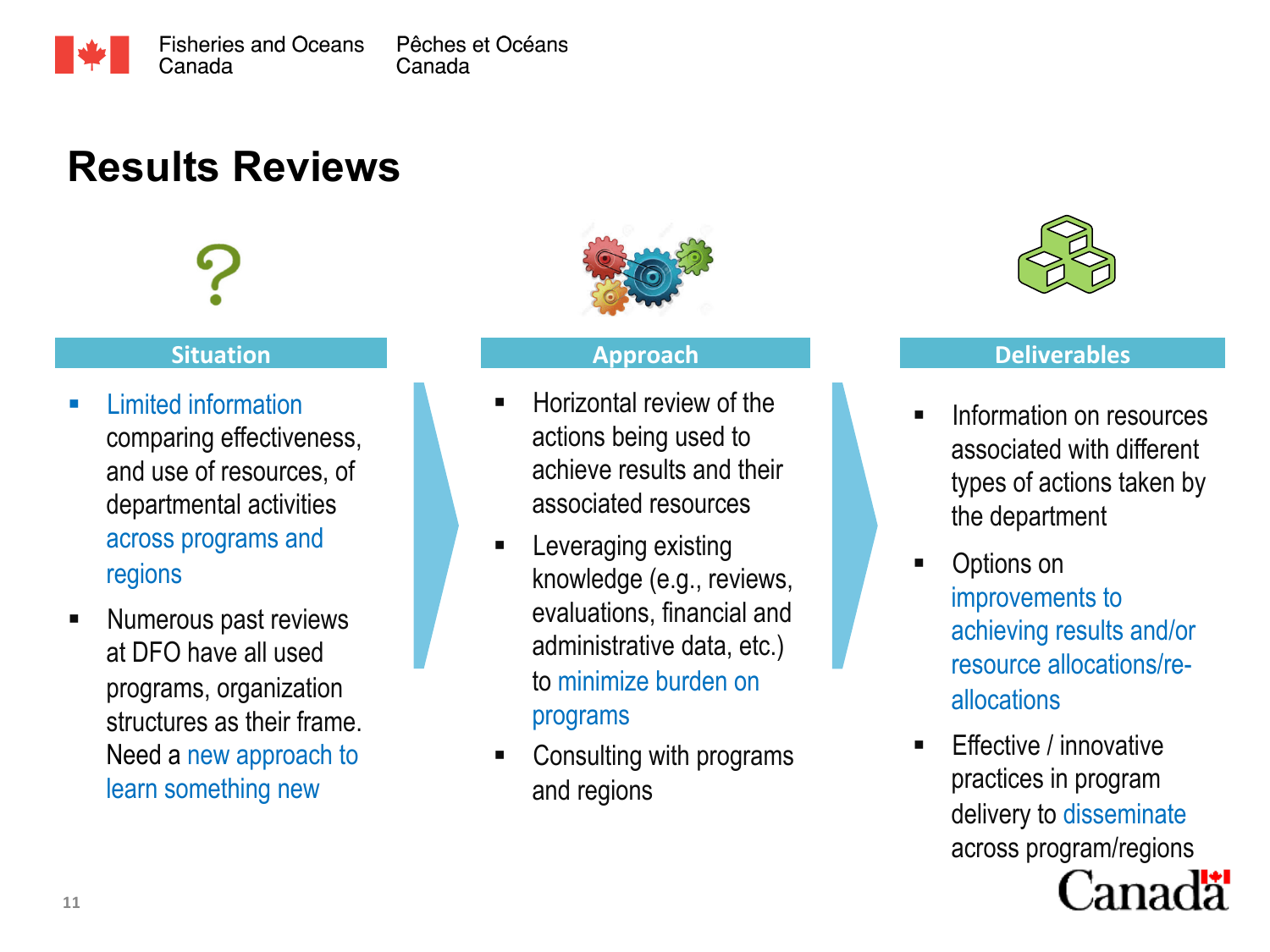

## **Results Reviews**

### **Situation**

- § Limited information comparing effectiveness, and use of resources, of departmental activities across programs and regions
- Numerous past reviews at DFO have all used programs, organization structures as their frame. Need a new approach to learn something new



### **Approach**

- § Horizontal review of the actions being used to achieve results and their associated resources
- § Leveraging existing knowledge (e.g., reviews, evaluations, financial and administrative data, etc.) to minimize burden on programs
- § Consulting with programs and regions



### **Deliverables**

- § Information on resources associated with different types of actions taken by the department
- § Options on improvements to achieving results and/or resource allocations/reallocations
- Effective / innovative practices in program delivery to disseminate across program/regions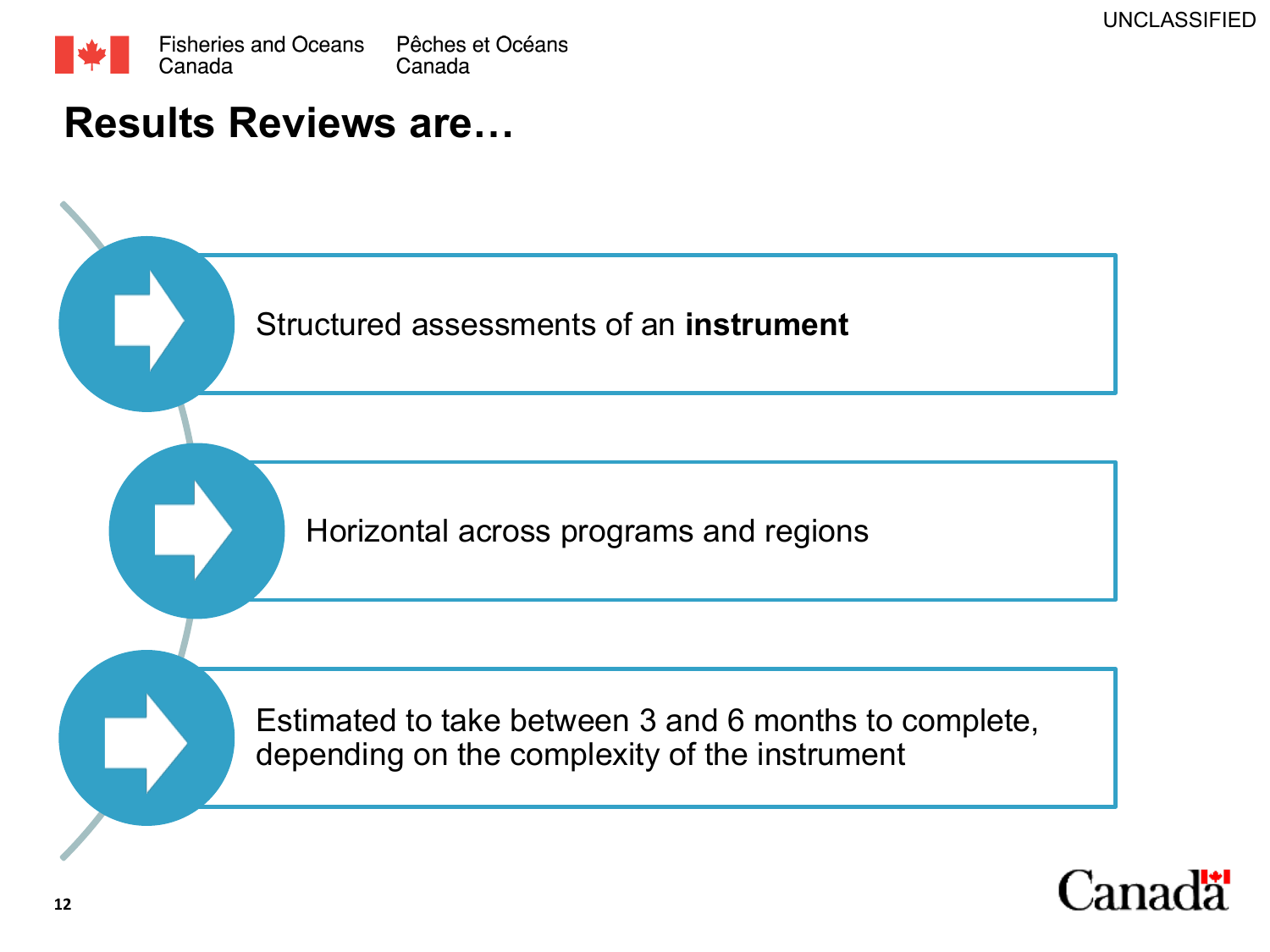

### **Results Reviews are…**

Structured assessments of an **instrument**

Horizontal across programs and regions

Estimated to take between 3 and 6 months to complete, depending on the complexity of the instrument

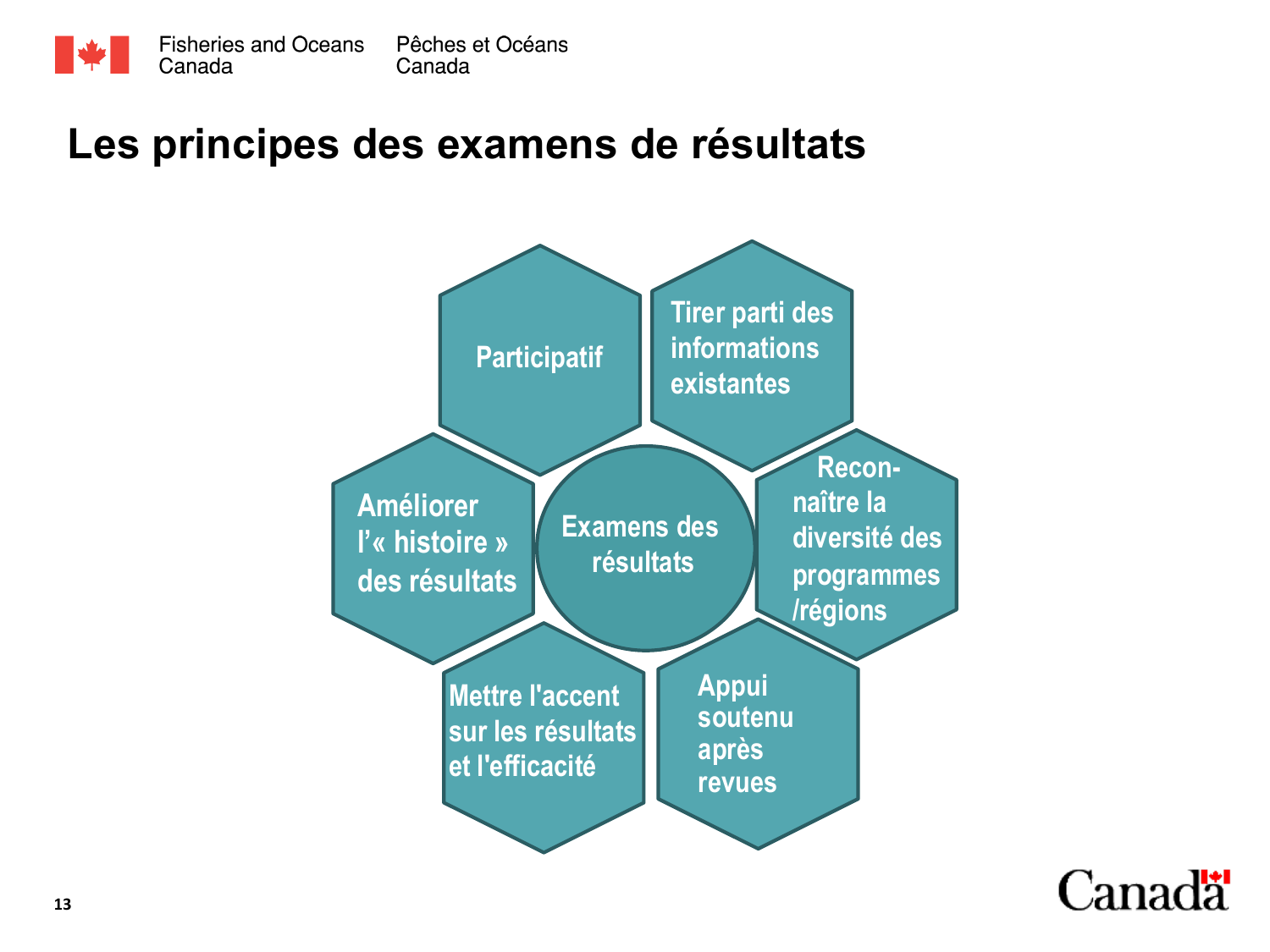

### **Les principes des examens de résultats**



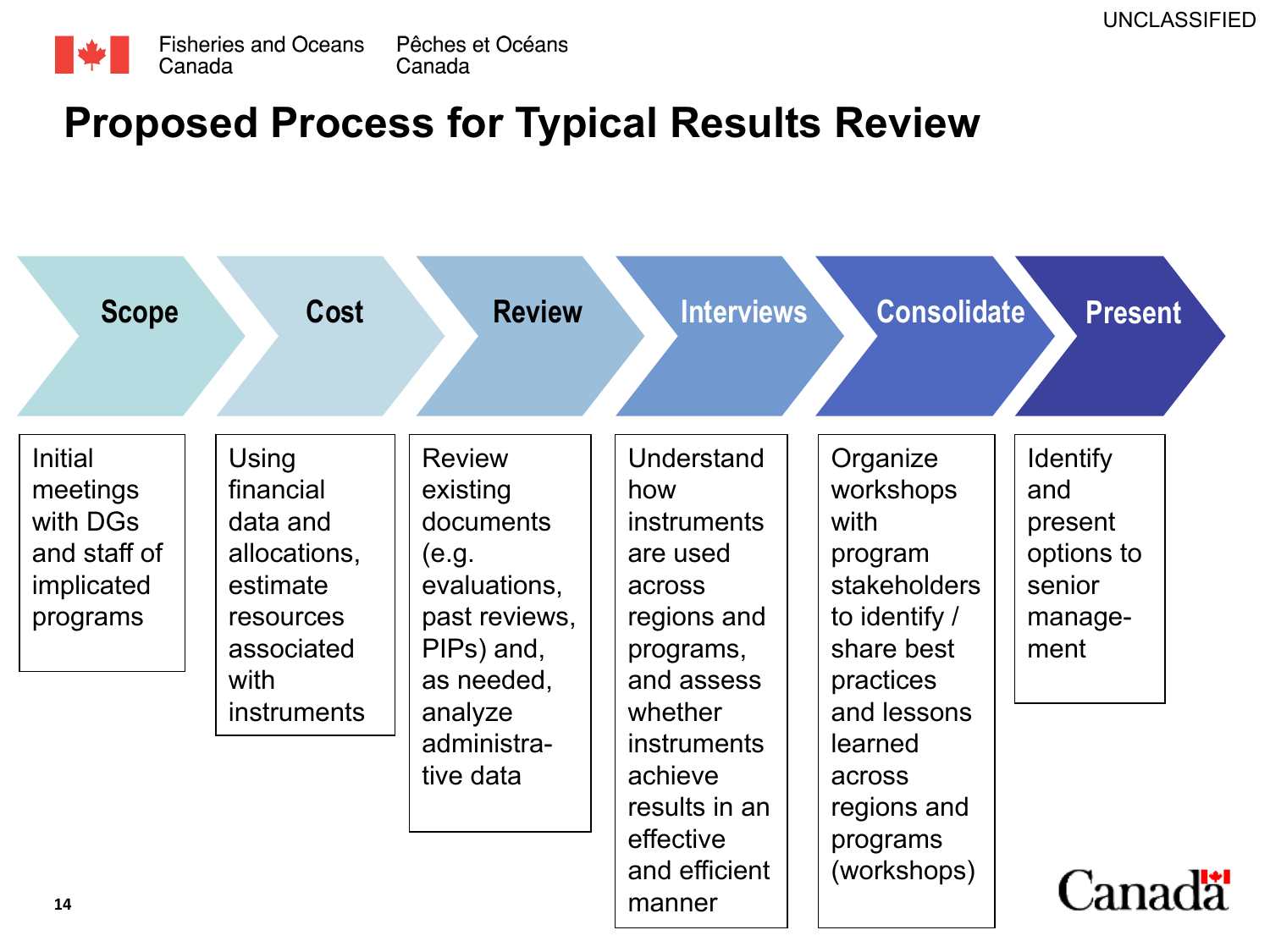

### **Proposed Process for Typical Results Review**

| <b>Scope</b>                                                                     | <b>Cost</b>                                                                                   | <b>Review</b>                                                                                                | Interviews                                                                                              | <b>Consolidate</b>                                                                                   | <b>Present</b>                                                               |
|----------------------------------------------------------------------------------|-----------------------------------------------------------------------------------------------|--------------------------------------------------------------------------------------------------------------|---------------------------------------------------------------------------------------------------------|------------------------------------------------------------------------------------------------------|------------------------------------------------------------------------------|
| <b>Initial</b><br>meetings<br>with DGs<br>and staff of<br>implicated<br>programs | Using<br>financial<br>data and<br>allocations,<br>estimate<br>resources<br>associated<br>with | <b>Review</b><br>existing<br>documents<br>(e.g.<br>evaluations,<br>past reviews,<br>PIPs) and,<br>as needed, | Understand<br>how<br><b>instruments</b><br>are used<br>across<br>regions and<br>programs,<br>and assess | Organize<br>workshops<br>with<br>program<br>stakeholders<br>to identify /<br>share best<br>practices | <b>Identify</b><br>and<br>present<br>options to<br>senior<br>manage-<br>ment |
| 14                                                                               | <i>instruments</i>                                                                            | analyze<br>administra-<br>tive data                                                                          | whether<br><i>instruments</i><br>achieve<br>results in an<br>effective<br>and efficient<br>manner       | and lessons<br>learned<br>across<br>regions and<br>programs<br>(workshops)                           | <b>Canada</b>                                                                |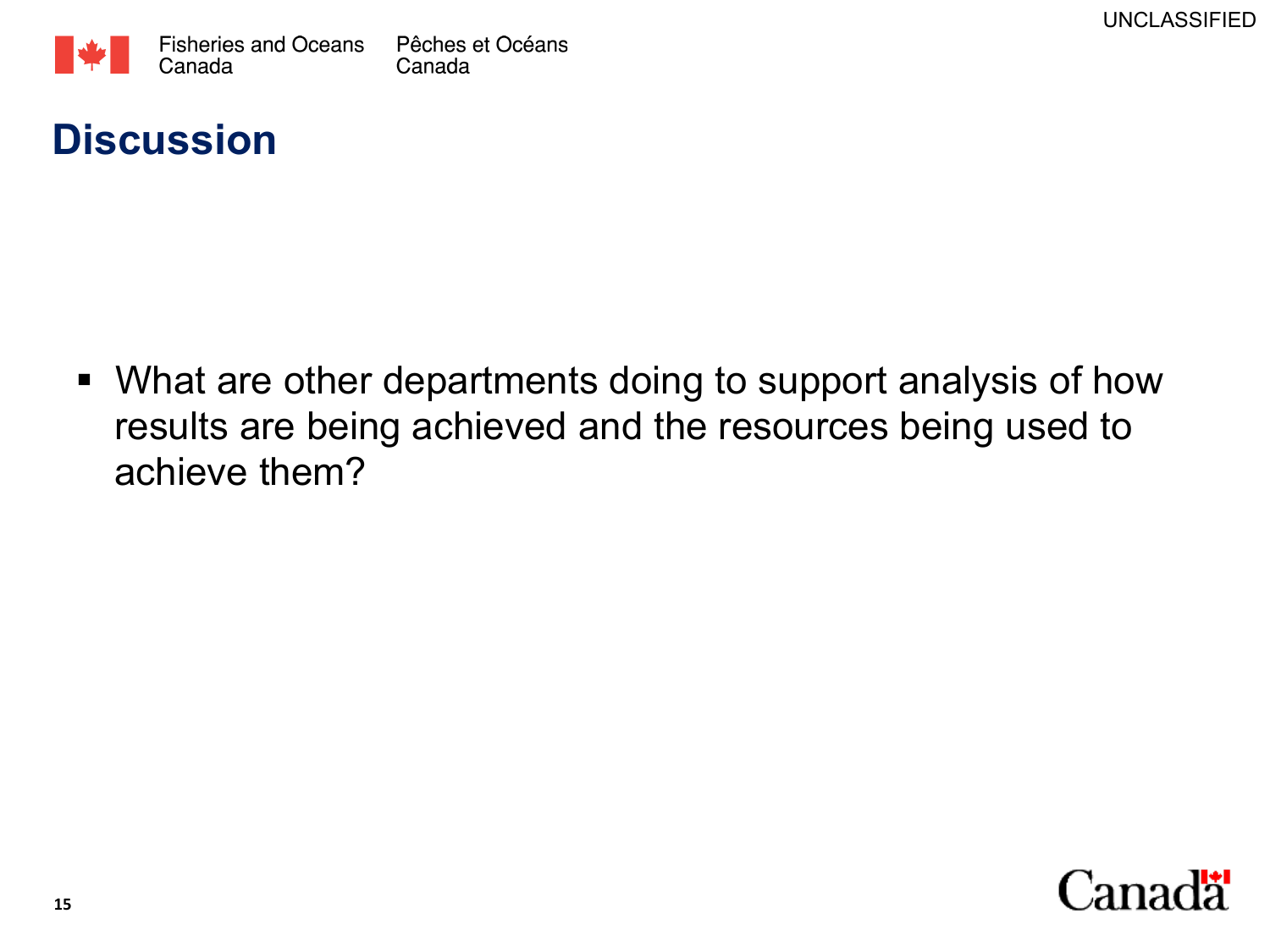

### **Discussion**

• What are other departments doing to support analysis of how results are being achieved and the resources being used to achieve them?